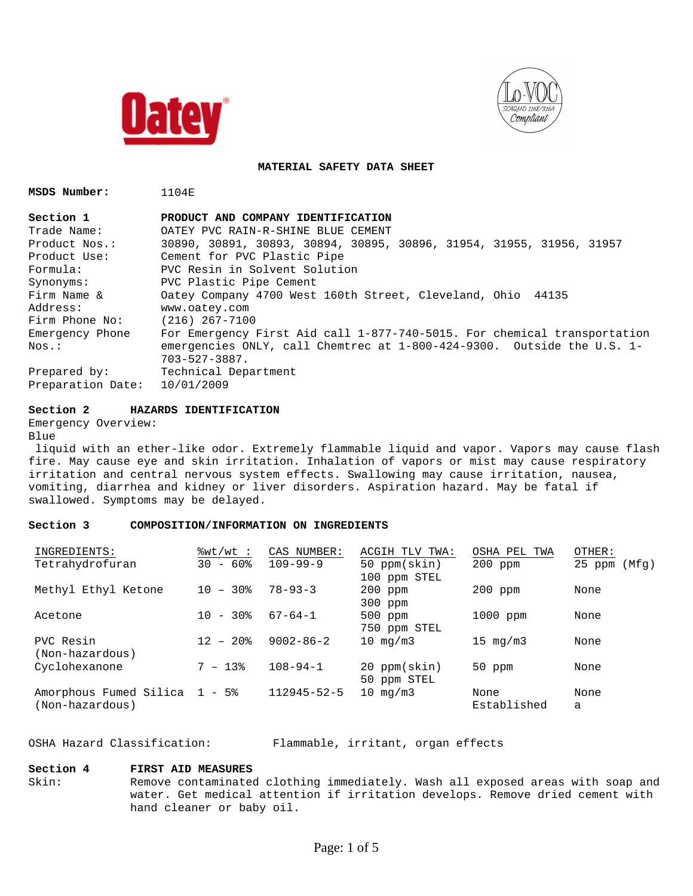



**MATERIAL SAFETY DATA SHEET**

**MSDS Number:** 1104E

| Section 1         | PRODUCT AND COMPANY IDENTIFICATION                                       |
|-------------------|--------------------------------------------------------------------------|
| Trade Name:       | OATEY PVC RAIN-R-SHINE BLUE CEMENT                                       |
| Product Nos.:     | 30890, 30891, 30893, 30894, 30895, 30896, 31954, 31955, 31956, 31957     |
| Product Use:      | Cement for PVC Plastic Pipe                                              |
| Formula:          | PVC Resin in Solvent Solution                                            |
| Synonyms:         | PVC Plastic Pipe Cement                                                  |
| Firm Name &       | Oatey Company 4700 West 160th Street, Cleveland, Ohio 44135              |
| Address:          | www.oatey.com                                                            |
| Firm Phone No:    | $(216)$ 267-7100                                                         |
| Emergency Phone   | For Emergency First Aid call 1-877-740-5015. For chemical transportation |
| $Nos.$ :          | emergencies ONLY, call Chemtrec at 1-800-424-9300. Outside the U.S. 1-   |
|                   | $703 - 527 - 3887$ .                                                     |
| Prepared by:      | Technical Department                                                     |
| Preparation Date: | 10/01/2009                                                               |

## **Section 2 HAZARDS IDENTIFICATION**

```
Emergency Overview:
```

```
Blue
```
 liquid with an ether-like odor. Extremely flammable liquid and vapor. Vapors may cause flash fire. May cause eye and skin irritation. Inhalation of vapors or mist may cause respiratory irritation and central nervous system effects. Swallowing may cause irritation, nausea, vomiting, diarrhea and kidney or liver disorders. Aspiration hazard. May be fatal if swallowed. Symptoms may be delayed.

## **Section 3 COMPOSITION/INFORMATION ON INGREDIENTS**

| INGREDIENTS:                                     | %wt/wt ∶               | CAS NUMBER:       | ACGIH TLV TWA:               | OSHA PEL TWA              | OTHER:          |
|--------------------------------------------------|------------------------|-------------------|------------------------------|---------------------------|-----------------|
| Tetrahydrofuran                                  | $30 - 60$ <sup>8</sup> | $109 - 99 - 9$    | 50 ppm(skin)<br>100 ppm STEL | $200$ ppm                 | 25 ppm<br>(Mfq) |
| Methyl Ethyl Ketone                              | $-30\%$<br>1 O         | $78 - 93 - 3$     | $200$ ppm<br>$300$ ppm       | $200$ ppm                 | None            |
| Acetone                                          | - 30%<br>1 O           | $67 - 64 - 1$     | 500 ppm<br>750 ppm STEL      | 1000 ppm                  | None            |
| PVC Resin<br>(Non-hazardous)                     | $12 - 20$ %            | $9002 - 86 - 2$   | 10 $mq/m3$                   | $15 \text{ mg}/\text{m}3$ | None            |
| Cyclohexanone                                    | $7 - 13$               | $108 - 94 - 1$    | 20 ppm(skin)<br>50 ppm STEL  | $50$ ppm                  | None            |
| Amorphous Fumed Silica 1 - 5%<br>(Non-hazardous) |                        | $112945 - 52 - 5$ | $10 \text{ mg}/\text{m}$ 3   | None<br>Established       | None<br>a       |

OSHA Hazard Classification: Flammable, irritant, organ effects

## **Section 4 FIRST AID MEASURES**

Skin: Remove contaminated clothing immediately. Wash all exposed areas with soap and water. Get medical attention if irritation develops. Remove dried cement with hand cleaner or baby oil.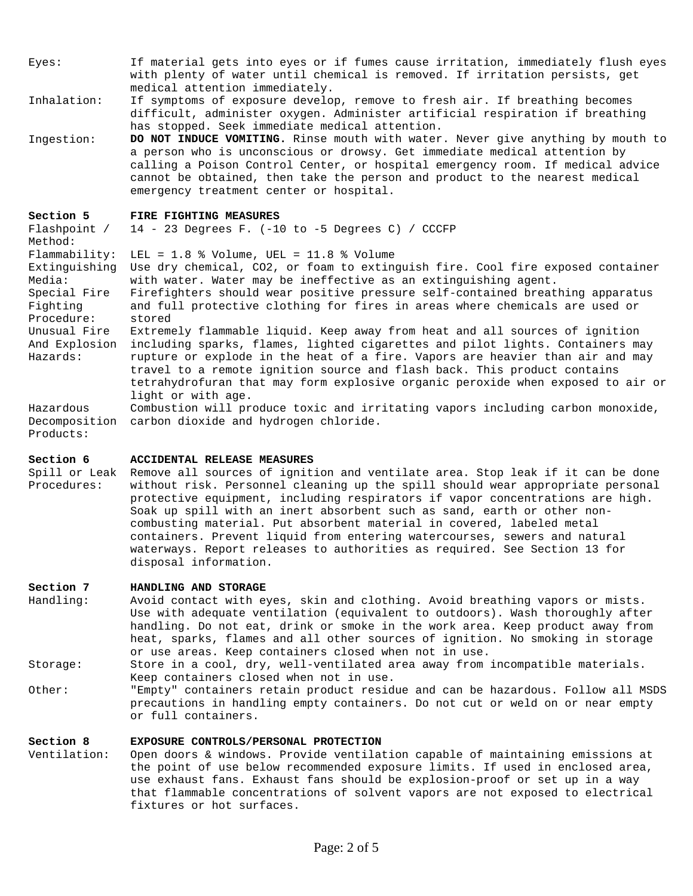- Eyes: If material gets into eyes or if fumes cause irritation, immediately flush eyes with plenty of water until chemical is removed. If irritation persists, get medical attention immediately.
- Inhalation: If symptoms of exposure develop, remove to fresh air. If breathing becomes difficult, administer oxygen. Administer artificial respiration if breathing has stopped. Seek immediate medical attention.
- Ingestion: **DO NOT INDUCE VOMITING.** Rinse mouth with water. Never give anything by mouth to a person who is unconscious or drowsy. Get immediate medical attention by calling a Poison Control Center, or hospital emergency room. If medical advice cannot be obtained, then take the person and product to the nearest medical emergency treatment center or hospital.

#### **Section 5 FIRE FIGHTING MEASURES**

Flashpoint / Method: 14 - 23 Degrees F. (-10 to -5 Degrees C) / CCCFP Flammability: LEL = 1.8 % Volume, UEL = 11.8 % Volume Extinguishing Use dry chemical, CO2, or foam to extinguish fire. Cool fire exposed container Media: with water. Water may be ineffective as an extinguishing agent. Special Fire Firefighters should wear positive pressure self-contained breathing apparatus Fighting Procedure: and full protective clothing for fires in areas where chemicals are used or stored Unusual Fire Extremely flammable liquid. Keep away from heat and all sources of ignition And Explosion including sparks, flames, lighted cigarettes and pilot lights. Containers may Hazards: rupture or explode in the heat of a fire. Vapors are heavier than air and may travel to a remote ignition source and flash back. This product contains tetrahydrofuran that may form explosive organic peroxide when exposed to air or light or with age. Hazardous Decomposition carbon dioxide and hydrogen chloride. Combustion will produce toxic and irritating vapors including carbon monoxide,

#### **Section 6 ACCIDENTAL RELEASE MEASURES**

Products:

Spill or Leak Remove all sources of ignition and ventilate area. Stop leak if it can be done Procedures: without risk. Personnel cleaning up the spill should wear appropriate personal protective equipment, including respirators if vapor concentrations are high. Soak up spill with an inert absorbent such as sand, earth or other noncombusting material. Put absorbent material in covered, labeled metal containers. Prevent liquid from entering watercourses, sewers and natural waterways. Report releases to authorities as required. See Section 13 for disposal information.

#### **Section 7 HANDLING AND STORAGE**

Handling: Avoid contact with eyes, skin and clothing. Avoid breathing vapors or mists. Use with adequate ventilation (equivalent to outdoors). Wash thoroughly after handling. Do not eat, drink or smoke in the work area. Keep product away from heat, sparks, flames and all other sources of ignition. No smoking in storage or use areas. Keep containers closed when not in use.

Storage: Store in a cool, dry, well-ventilated area away from incompatible materials. Keep containers closed when not in use.

Other: "Empty" containers retain product residue and can be hazardous. Follow all MSDS precautions in handling empty containers. Do not cut or weld on or near empty or full containers.

## **Section 8 EXPOSURE CONTROLS/PERSONAL PROTECTION**

Ventilation: Open doors & windows. Provide ventilation capable of maintaining emissions at the point of use below recommended exposure limits. If used in enclosed area, use exhaust fans. Exhaust fans should be explosion-proof or set up in a way that flammable concentrations of solvent vapors are not exposed to electrical fixtures or hot surfaces.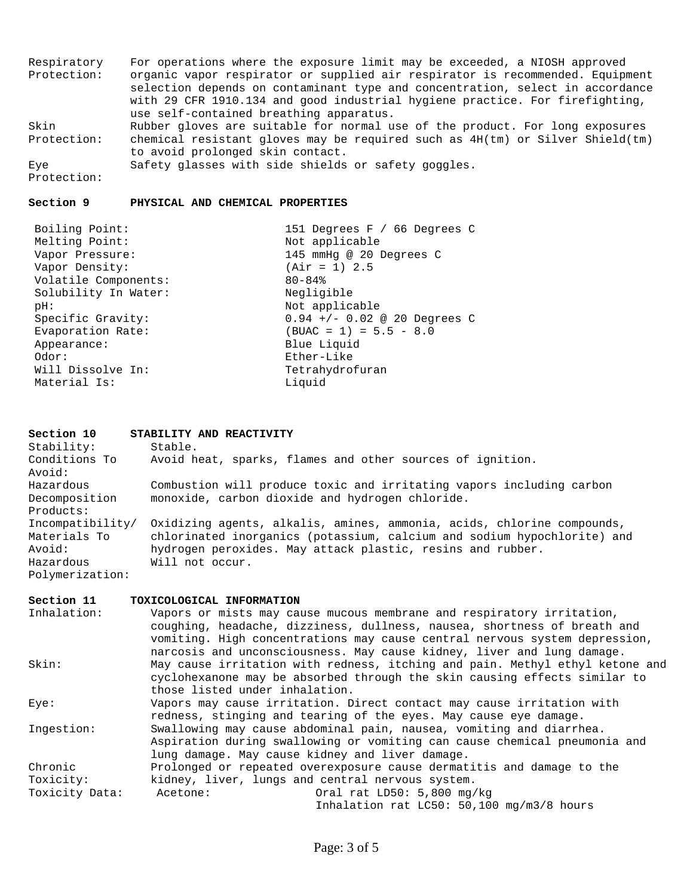Respiratory Protection: For operations where the exposure limit may be exceeded, a NIOSH approved organic vapor respirator or supplied air respirator is recommended. Equipment selection depends on contaminant type and concentration, select in accordance with 29 CFR 1910.134 and good industrial hygiene practice. For firefighting, use self-contained breathing apparatus. Skin Protection: chemical resistant gloves may be required such as 4H(tm) or Silver Shield(tm) Rubber gloves are suitable for normal use of the product. For long exposures to avoid prolonged skin contact. Eye Protection: Safety glasses with side shields or safety goggles.

#### **Section 9 PHYSICAL AND CHEMICAL PROPERTIES**

| Boiling Point:       | 151 Degrees F / 66 Degrees C   |
|----------------------|--------------------------------|
| Melting Point:       | Not applicable                 |
| Vapor Pressure:      | 145 mmHq @ 20 Degrees C        |
| Vapor Density:       | $(Air = 1) 2.5$                |
| Volatile Components: | $80 - 84$                      |
| Solubility In Water: | Negligible                     |
| pH:                  | Not applicable                 |
| Specific Gravity:    | $0.94$ +/- 0.02 @ 20 Degrees C |
| Evaporation Rate:    | $(BUAC = 1) = 5.5 - 8.0$       |
| Appearance:          | Blue Liquid                    |
| Odor:                | Ether-Like                     |
| Will Dissolve In:    | Tetrahydrofuran                |
| Material Is:         | Liquid                         |

## **Section 10 STABILITY AND REACTIVITY**

| Stability:       | Stable.                                                                 |
|------------------|-------------------------------------------------------------------------|
| Conditions To    | Avoid heat, sparks, flames and other sources of ignition.               |
| Avoid:           |                                                                         |
| Hazardous        | Combustion will produce toxic and irritating vapors including carbon    |
| Decomposition    | monoxide, carbon dioxide and hydrogen chloride.                         |
| Products:        |                                                                         |
| Incompatibility/ | Oxidizing agents, alkalis, amines, ammonia, acids, chlorine compounds,  |
| Materials To     | chlorinated inorganics (potassium, calcium and sodium hypochlorite) and |
| Avoid:           | hydrogen peroxides. May attack plastic, resins and rubber.              |
| Hazardous        | Will not occur.                                                         |
| Polymerization:  |                                                                         |

| Section 11     | TOXICOLOGICAL INFORMATION                                                    |
|----------------|------------------------------------------------------------------------------|
| Inhalation:    | Vapors or mists may cause mucous membrane and respiratory irritation,        |
|                | coughing, headache, dizziness, dullness, nausea, shortness of breath and     |
|                | vomiting. High concentrations may cause central nervous system depression,   |
|                | narcosis and unconsciousness. May cause kidney, liver and lung damage.       |
| Skin:          | May cause irritation with redness, itching and pain. Methyl ethyl ketone and |
|                | cyclohexanone may be absorbed through the skin causing effects similar to    |
|                | those listed under inhalation.                                               |
| Eye:           | Vapors may cause irritation. Direct contact may cause irritation with        |
|                | redness, stinging and tearing of the eyes. May cause eye damage.             |
| Ingestion:     | Swallowing may cause abdominal pain, nausea, vomiting and diarrhea.          |
|                | Aspiration during swallowing or vomiting can cause chemical pneumonia and    |
|                | lung damage. May cause kidney and liver damage.                              |
| Chronic        | Prolonged or repeated overexposure cause dermatitis and damage to the        |
| Toxicity:      | kidney, liver, lungs and central nervous system.                             |
| Toxicity Data: | Oral rat LD50: 5,800 mg/kg<br>Acetone:                                       |
|                | Inhalation rat LC50: 50,100 mg/m3/8 hours                                    |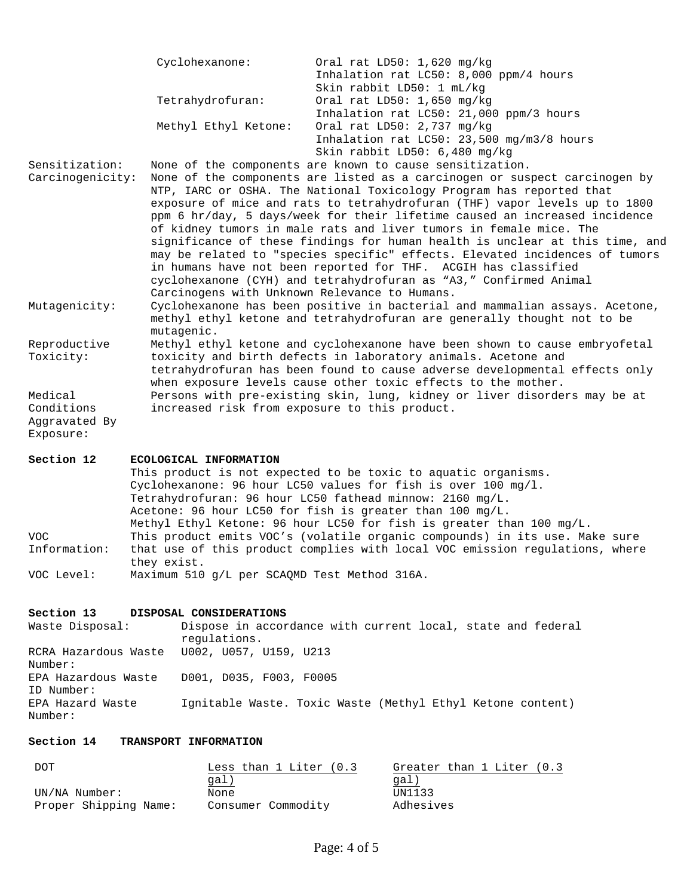|                  | Cyclohexanone:                                                                                                                                                                                                                                                                                                                                                                                                                                                                                                                                                                                                                                                                             | Oral rat LD50: 1,620 mg/kg<br>Inhalation rat LC50: 8,000 ppm/4 hours<br>Skin rabbit LD50: 1 mL/kg                                                      |  |
|------------------|--------------------------------------------------------------------------------------------------------------------------------------------------------------------------------------------------------------------------------------------------------------------------------------------------------------------------------------------------------------------------------------------------------------------------------------------------------------------------------------------------------------------------------------------------------------------------------------------------------------------------------------------------------------------------------------------|--------------------------------------------------------------------------------------------------------------------------------------------------------|--|
|                  | Tetrahydrofuran:                                                                                                                                                                                                                                                                                                                                                                                                                                                                                                                                                                                                                                                                           | Oral rat $LD50: 1,650$ mg/kg<br>Inhalation rat LC50: 21,000 ppm/3 hours                                                                                |  |
|                  | Methyl Ethyl Ketone:                                                                                                                                                                                                                                                                                                                                                                                                                                                                                                                                                                                                                                                                       | Oral rat LD50: 2,737 mg/kg<br>Inhalation rat LC50: 23,500 mg/m3/8 hours<br>Skin rabbit LD50: 6,480 mg/kg                                               |  |
| Sensitization:   |                                                                                                                                                                                                                                                                                                                                                                                                                                                                                                                                                                                                                                                                                            | None of the components are known to cause sensitization.                                                                                               |  |
| Carcinogenicity: | None of the components are listed as a carcinogen or suspect carcinogen by<br>NTP, IARC or OSHA. The National Toxicology Program has reported that<br>exposure of mice and rats to tetrahydrofuran (THF) vapor levels up to 1800<br>ppm 6 hr/day, 5 days/week for their lifetime caused an increased incidence<br>of kidney tumors in male rats and liver tumors in female mice. The<br>significance of these findings for human health is unclear at this time, and<br>may be related to "species specific" effects. Elevated incidences of tumors<br>in humans have not been reported for THF. ACGIH has classified<br>cyclohexanone (CYH) and tetrahydrofuran as "A3," Confirmed Animal |                                                                                                                                                        |  |
| Mutagenicity:    | Carcinogens with Unknown Relevance to Humans.<br>mutagenic.                                                                                                                                                                                                                                                                                                                                                                                                                                                                                                                                                                                                                                | Cyclohexanone has been positive in bacterial and mammalian assays. Acetone,<br>methyl ethyl ketone and tetrahydrofuran are generally thought not to be |  |
| Reproductive     |                                                                                                                                                                                                                                                                                                                                                                                                                                                                                                                                                                                                                                                                                            | Methyl ethyl ketone and cyclohexanone have been shown to cause embryofetal                                                                             |  |
| Toxicity:        |                                                                                                                                                                                                                                                                                                                                                                                                                                                                                                                                                                                                                                                                                            | toxicity and birth defects in laboratory animals. Acetone and                                                                                          |  |
|                  |                                                                                                                                                                                                                                                                                                                                                                                                                                                                                                                                                                                                                                                                                            | tetrahydrofuran has been found to cause adverse developmental effects only<br>when exposure levels cause other toxic effects to the mother.            |  |
| Medical          |                                                                                                                                                                                                                                                                                                                                                                                                                                                                                                                                                                                                                                                                                            | Persons with pre-existing skin, lung, kidney or liver disorders may be at                                                                              |  |
| Conditions       | increased risk from exposure to this product.                                                                                                                                                                                                                                                                                                                                                                                                                                                                                                                                                                                                                                              |                                                                                                                                                        |  |
| Aggravated By    |                                                                                                                                                                                                                                                                                                                                                                                                                                                                                                                                                                                                                                                                                            |                                                                                                                                                        |  |
| Exposure:        |                                                                                                                                                                                                                                                                                                                                                                                                                                                                                                                                                                                                                                                                                            |                                                                                                                                                        |  |
| Section 12       | ECOLOGICAL INFORMATION                                                                                                                                                                                                                                                                                                                                                                                                                                                                                                                                                                                                                                                                     |                                                                                                                                                        |  |
|                  |                                                                                                                                                                                                                                                                                                                                                                                                                                                                                                                                                                                                                                                                                            | This product is not expected to be toxic to aquatic organisms.                                                                                         |  |
|                  |                                                                                                                                                                                                                                                                                                                                                                                                                                                                                                                                                                                                                                                                                            | Cyclohexanone: 96 hour LC50 values for fish is over 100 mg/l.                                                                                          |  |
|                  | Tetrahydrofuran: 96 hour LC50 fathead minnow: 2160 mg/L.                                                                                                                                                                                                                                                                                                                                                                                                                                                                                                                                                                                                                                   |                                                                                                                                                        |  |

Acetone: 96 hour LC50 for fish is greater than 100 mg/L. Methyl Ethyl Ketone: 96 hour LC50 for fish is greater than 100 mg/L. VOC Information: This product emits VOC's (volatile organic compounds) in its use. Make sure that use of this product complies with local VOC emission regulations, where they exist. VOC Level: Maximum 510 g/L per SCAQMD Test Method 316A.

# **Section 13 DISPOSAL CONSIDERATIONS**

Waste Disposal: Dispose in accordance with current local, state and federal regulations. RCRA Hazardous Waste U002, U057, U159, U213 Number: EPA Hazardous Waste ID Number: D001, D035, F003, F0005 EPA Hazard Waste Number: Ignitable Waste. Toxic Waste (Methyl Ethyl Ketone content)

# **Section 14 TRANSPORT INFORMATION**

| DOT                   | Less than $1$ Liter $(0.3)$ | Greater than 1 Liter (0.3) |
|-----------------------|-----------------------------|----------------------------|
|                       | gal)                        | gal)                       |
| UN/NA Number:         | None                        | UN1133                     |
| Proper Shipping Name: | Consumer Commodity          | Adhesives                  |